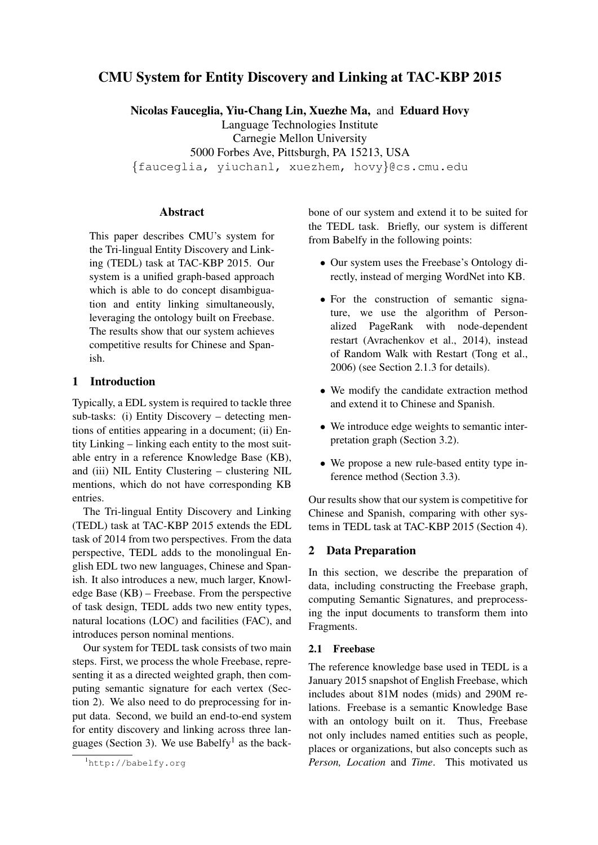# CMU System for Entity Discovery and Linking at TAC-KBP 2015

Nicolas Fauceglia, Yiu-Chang Lin, Xuezhe Ma, and Eduard Hovy Language Technologies Institute Carnegie Mellon University 5000 Forbes Ave, Pittsburgh, PA 15213, USA {fauceglia, yiuchanl, xuezhem, hovy}@cs.cmu.edu

## Abstract

This paper describes CMU's system for the Tri-lingual Entity Discovery and Linking (TEDL) task at TAC-KBP 2015. Our system is a unified graph-based approach which is able to do concept disambiguation and entity linking simultaneously, leveraging the ontology built on Freebase. The results show that our system achieves competitive results for Chinese and Spanish.

## 1 Introduction

Typically, a EDL system is required to tackle three sub-tasks: (i) Entity Discovery – detecting mentions of entities appearing in a document; (ii) Entity Linking – linking each entity to the most suitable entry in a reference Knowledge Base (KB), and (iii) NIL Entity Clustering – clustering NIL mentions, which do not have corresponding KB entries.

The Tri-lingual Entity Discovery and Linking (TEDL) task at TAC-KBP 2015 extends the EDL task of 2014 from two perspectives. From the data perspective, TEDL adds to the monolingual English EDL two new languages, Chinese and Spanish. It also introduces a new, much larger, Knowledge Base (KB) – Freebase. From the perspective of task design, TEDL adds two new entity types, natural locations (LOC) and facilities (FAC), and introduces person nominal mentions.

Our system for TEDL task consists of two main steps. First, we process the whole Freebase, representing it as a directed weighted graph, then computing semantic signature for each vertex (Section 2). We also need to do preprocessing for input data. Second, we build an end-to-end system for entity discovery and linking across three languages (Section 3). We use Babelfy<sup>1</sup> as the backbone of our system and extend it to be suited for the TEDL task. Briefly, our system is different from Babelfy in the following points:

- Our system uses the Freebase's Ontology directly, instead of merging WordNet into KB.
- For the construction of semantic signature, we use the algorithm of Personalized PageRank with node-dependent restart (Avrachenkov et al., 2014), instead of Random Walk with Restart (Tong et al., 2006) (see Section 2.1.3 for details).
- We modify the candidate extraction method and extend it to Chinese and Spanish.
- We introduce edge weights to semantic interpretation graph (Section 3.2).
- We propose a new rule-based entity type inference method (Section 3.3).

Our results show that our system is competitive for Chinese and Spanish, comparing with other systems in TEDL task at TAC-KBP 2015 (Section 4).

## 2 Data Preparation

In this section, we describe the preparation of data, including constructing the Freebase graph, computing Semantic Signatures, and preprocessing the input documents to transform them into Fragments.

#### 2.1 Freebase

The reference knowledge base used in TEDL is a January 2015 snapshot of English Freebase, which includes about 81M nodes (mids) and 290M relations. Freebase is a semantic Knowledge Base with an ontology built on it. Thus, Freebase not only includes named entities such as people, places or organizations, but also concepts such as *Person, Location* and *Time*. This motivated us

<sup>1</sup>http://babelfy.org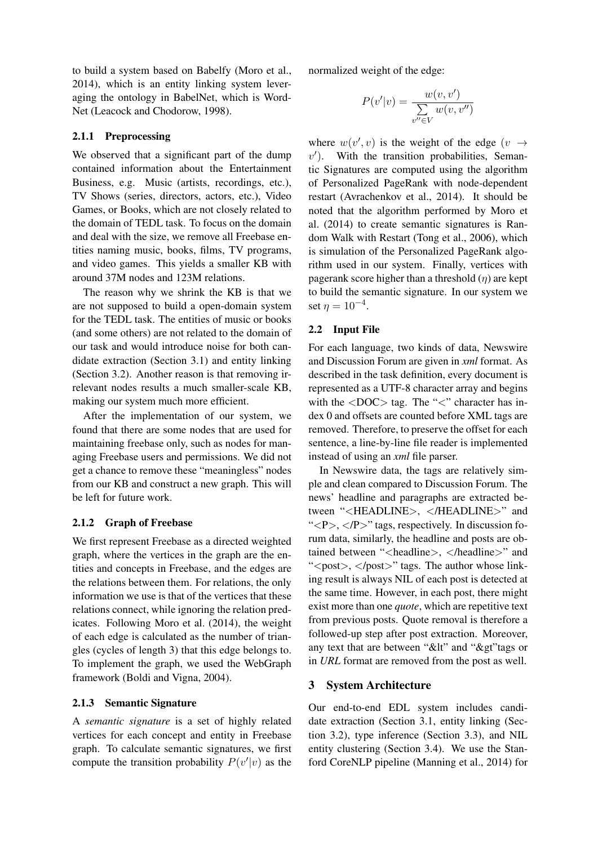to build a system based on Babelfy (Moro et al., 2014), which is an entity linking system leveraging the ontology in BabelNet, which is Word-Net (Leacock and Chodorow, 1998).

#### 2.1.1 Preprocessing

We observed that a significant part of the dump contained information about the Entertainment Business, e.g. Music (artists, recordings, etc.), TV Shows (series, directors, actors, etc.), Video Games, or Books, which are not closely related to the domain of TEDL task. To focus on the domain and deal with the size, we remove all Freebase entities naming music, books, films, TV programs, and video games. This yields a smaller KB with around 37M nodes and 123M relations.

The reason why we shrink the KB is that we are not supposed to build a open-domain system for the TEDL task. The entities of music or books (and some others) are not related to the domain of our task and would introduce noise for both candidate extraction (Section 3.1) and entity linking (Section 3.2). Another reason is that removing irrelevant nodes results a much smaller-scale KB, making our system much more efficient.

After the implementation of our system, we found that there are some nodes that are used for maintaining freebase only, such as nodes for managing Freebase users and permissions. We did not get a chance to remove these "meaningless" nodes from our KB and construct a new graph. This will be left for future work.

#### 2.1.2 Graph of Freebase

We first represent Freebase as a directed weighted graph, where the vertices in the graph are the entities and concepts in Freebase, and the edges are the relations between them. For relations, the only information we use is that of the vertices that these relations connect, while ignoring the relation predicates. Following Moro et al. (2014), the weight of each edge is calculated as the number of triangles (cycles of length 3) that this edge belongs to. To implement the graph, we used the WebGraph framework (Boldi and Vigna, 2004).

#### 2.1.3 Semantic Signature

A *semantic signature* is a set of highly related vertices for each concept and entity in Freebase graph. To calculate semantic signatures, we first compute the transition probability  $P(v'|v)$  as the

normalized weight of the edge:

$$
P(v'|v) = \frac{w(v, v')}{\sum_{v'' \in V} w(v, v'')}
$$

where  $w(v', v)$  is the weight of the edge  $(v \rightarrow$  $v'$ ). With the transition probabilities, Semantic Signatures are computed using the algorithm of Personalized PageRank with node-dependent restart (Avrachenkov et al., 2014). It should be noted that the algorithm performed by Moro et al. (2014) to create semantic signatures is Random Walk with Restart (Tong et al., 2006), which is simulation of the Personalized PageRank algorithm used in our system. Finally, vertices with pagerank score higher than a threshold  $(\eta)$  are kept to build the semantic signature. In our system we set  $\eta = 10^{-4}$ .

## 2.2 Input File

For each language, two kinds of data, Newswire and Discussion Forum are given in *xml* format. As described in the task definition, every document is represented as a UTF-8 character array and begins with the  $\langle$ DOC $>$  tag. The " $\langle$ " character has index 0 and offsets are counted before XML tags are removed. Therefore, to preserve the offset for each sentence, a line-by-line file reader is implemented instead of using an *xml* file parser.

In Newswire data, the tags are relatively simple and clean compared to Discussion Forum. The news' headline and paragraphs are extracted between "<HEADLINE>, </HEADLINE>" and " $\langle P \rangle$ ,  $\langle P \rangle$ " tags, respectively. In discussion forum data, similarly, the headline and posts are obtained between "<headline>, </headline>" and "<post>, </post>" tags. The author whose linking result is always NIL of each post is detected at the same time. However, in each post, there might exist more than one *quote*, which are repetitive text from previous posts. Quote removal is therefore a followed-up step after post extraction. Moreover, any text that are between "&It" and "&gt" tags or in *URL* format are removed from the post as well.

#### 3 System Architecture

Our end-to-end EDL system includes candidate extraction (Section 3.1, entity linking (Section 3.2), type inference (Section 3.3), and NIL entity clustering (Section 3.4). We use the Stanford CoreNLP pipeline (Manning et al., 2014) for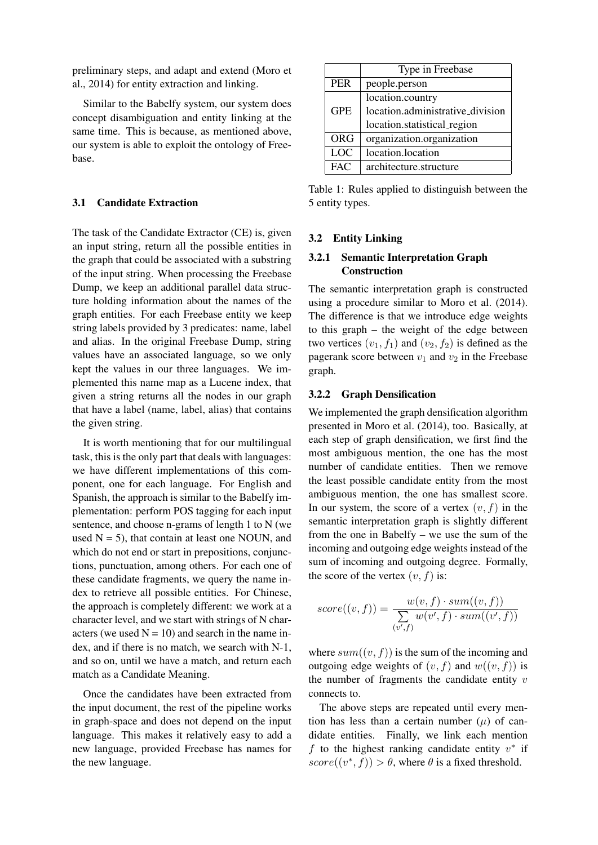preliminary steps, and adapt and extend (Moro et al., 2014) for entity extraction and linking.

Similar to the Babelfy system, our system does concept disambiguation and entity linking at the same time. This is because, as mentioned above, our system is able to exploit the ontology of Freebase.

## 3.1 Candidate Extraction

The task of the Candidate Extractor (CE) is, given an input string, return all the possible entities in the graph that could be associated with a substring of the input string. When processing the Freebase Dump, we keep an additional parallel data structure holding information about the names of the graph entities. For each Freebase entity we keep string labels provided by 3 predicates: name, label and alias. In the original Freebase Dump, string values have an associated language, so we only kept the values in our three languages. We implemented this name map as a Lucene index, that given a string returns all the nodes in our graph that have a label (name, label, alias) that contains the given string.

It is worth mentioning that for our multilingual task, this is the only part that deals with languages: we have different implementations of this component, one for each language. For English and Spanish, the approach is similar to the Babelfy implementation: perform POS tagging for each input sentence, and choose n-grams of length 1 to N (we used  $N = 5$ ), that contain at least one NOUN, and which do not end or start in prepositions, conjunctions, punctuation, among others. For each one of these candidate fragments, we query the name index to retrieve all possible entities. For Chinese, the approach is completely different: we work at a character level, and we start with strings of N characters (we used  $N = 10$ ) and search in the name index, and if there is no match, we search with N-1, and so on, until we have a match, and return each match as a Candidate Meaning.

Once the candidates have been extracted from the input document, the rest of the pipeline works in graph-space and does not depend on the input language. This makes it relatively easy to add a new language, provided Freebase has names for the new language.

|            | Type in Freebase                 |  |  |  |  |  |  |
|------------|----------------------------------|--|--|--|--|--|--|
| <b>PER</b> | people.person                    |  |  |  |  |  |  |
|            | location.country                 |  |  |  |  |  |  |
| <b>GPE</b> | location.administrative_division |  |  |  |  |  |  |
|            | location.statistical_region      |  |  |  |  |  |  |
| <b>ORG</b> | organization.organization        |  |  |  |  |  |  |
| <b>LOC</b> | location.location                |  |  |  |  |  |  |
| FAC        | architecture.structure           |  |  |  |  |  |  |

Table 1: Rules applied to distinguish between the 5 entity types.

## 3.2 Entity Linking

## 3.2.1 Semantic Interpretation Graph **Construction**

The semantic interpretation graph is constructed using a procedure similar to Moro et al. (2014). The difference is that we introduce edge weights to this graph – the weight of the edge between two vertices  $(v_1, f_1)$  and  $(v_2, f_2)$  is defined as the pagerank score between  $v_1$  and  $v_2$  in the Freebase graph.

## 3.2.2 Graph Densification

We implemented the graph densification algorithm presented in Moro et al. (2014), too. Basically, at each step of graph densification, we first find the most ambiguous mention, the one has the most number of candidate entities. Then we remove the least possible candidate entity from the most ambiguous mention, the one has smallest score. In our system, the score of a vertex  $(v, f)$  in the semantic interpretation graph is slightly different from the one in Babelfy – we use the sum of the incoming and outgoing edge weights instead of the sum of incoming and outgoing degree. Formally, the score of the vertex  $(v, f)$  is:

$$
score((v, f)) = \frac{w(v, f) \cdot sum((v, f))}{\sum_{(v', f)} w(v', f) \cdot sum((v', f))}
$$

where  $sum((v, f))$  is the sum of the incoming and outgoing edge weights of  $(v, f)$  and  $w((v, f))$  is the number of fragments the candidate entity  $v$ connects to.

The above steps are repeated until every mention has less than a certain number  $(\mu)$  of candidate entities. Finally, we link each mention f to the highest ranking candidate entity  $v^*$  if score( $(v^*, f)$ ) >  $\theta$ , where  $\theta$  is a fixed threshold.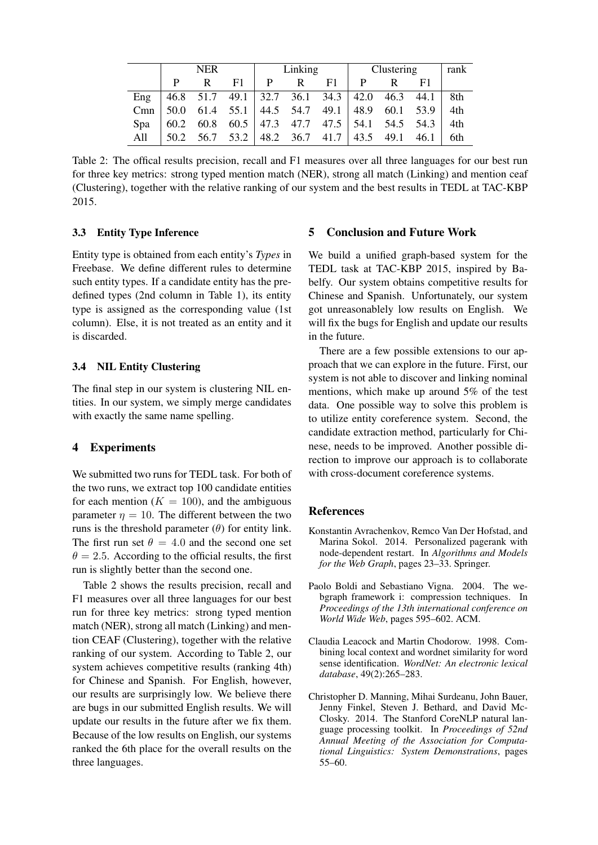|     | <b>NER</b> |   |    | Linking                                      |   |     | Clustering |  |                                                                  | rank |
|-----|------------|---|----|----------------------------------------------|---|-----|------------|--|------------------------------------------------------------------|------|
|     |            | R | F1 | P                                            | R | F1. | P          |  | F1                                                               |      |
| Eng |            |   |    |                                              |   |     |            |  | $ 46.8 \t51.7 \t49.1 \t32.7 \t36.1 \t34.3 \t42.0 \t46.3 \t44.1 $ | 8th  |
| Cmn | 50.0       |   |    |                                              |   |     |            |  | 61.4 55.1 44.5 54.7 49.1 48.9 60.1 53.9                          | 4th  |
| Spa |            |   |    |                                              |   |     |            |  | 60.2 60.8 60.5   47.3 47.7 47.5   54.1 54.5 54.3                 | 4th  |
| A11 | 50.2       |   |    | $56.7$ $53.2$   48.2 $36.7$ 41.7   43.5 49.1 |   |     |            |  | 46.1                                                             | 6th  |

Table 2: The offical results precision, recall and F1 measures over all three languages for our best run for three key metrics: strong typed mention match (NER), strong all match (Linking) and mention ceaf (Clustering), together with the relative ranking of our system and the best results in TEDL at TAC-KBP 2015.

## 3.3 Entity Type Inference

Entity type is obtained from each entity's *Types* in Freebase. We define different rules to determine such entity types. If a candidate entity has the predefined types (2nd column in Table 1), its entity type is assigned as the corresponding value (1st column). Else, it is not treated as an entity and it is discarded.

## 3.4 NIL Entity Clustering

The final step in our system is clustering NIL entities. In our system, we simply merge candidates with exactly the same name spelling.

#### 4 Experiments

We submitted two runs for TEDL task. For both of the two runs, we extract top 100 candidate entities for each mention ( $K = 100$ ), and the ambiguous parameter  $n = 10$ . The different between the two runs is the threshold parameter  $(\theta)$  for entity link. The first run set  $\theta = 4.0$  and the second one set  $\theta = 2.5$ . According to the official results, the first run is slightly better than the second one.

Table 2 shows the results precision, recall and F1 measures over all three languages for our best run for three key metrics: strong typed mention match (NER), strong all match (Linking) and mention CEAF (Clustering), together with the relative ranking of our system. According to Table 2, our system achieves competitive results (ranking 4th) for Chinese and Spanish. For English, however, our results are surprisingly low. We believe there are bugs in our submitted English results. We will update our results in the future after we fix them. Because of the low results on English, our systems ranked the 6th place for the overall results on the three languages.

## 5 Conclusion and Future Work

We build a unified graph-based system for the TEDL task at TAC-KBP 2015, inspired by Babelfy. Our system obtains competitive results for Chinese and Spanish. Unfortunately, our system got unreasonablely low results on English. We will fix the bugs for English and update our results in the future.

There are a few possible extensions to our approach that we can explore in the future. First, our system is not able to discover and linking nominal mentions, which make up around 5% of the test data. One possible way to solve this problem is to utilize entity coreference system. Second, the candidate extraction method, particularly for Chinese, needs to be improved. Another possible direction to improve our approach is to collaborate with cross-document coreference systems.

#### References

- Konstantin Avrachenkov, Remco Van Der Hofstad, and Marina Sokol. 2014. Personalized pagerank with node-dependent restart. In *Algorithms and Models for the Web Graph*, pages 23–33. Springer.
- Paolo Boldi and Sebastiano Vigna. 2004. The webgraph framework i: compression techniques. In *Proceedings of the 13th international conference on World Wide Web*, pages 595–602. ACM.
- Claudia Leacock and Martin Chodorow. 1998. Combining local context and wordnet similarity for word sense identification. *WordNet: An electronic lexical database*, 49(2):265–283.
- Christopher D. Manning, Mihai Surdeanu, John Bauer, Jenny Finkel, Steven J. Bethard, and David Mc-Closky. 2014. The Stanford CoreNLP natural language processing toolkit. In *Proceedings of 52nd Annual Meeting of the Association for Computational Linguistics: System Demonstrations*, pages 55–60.